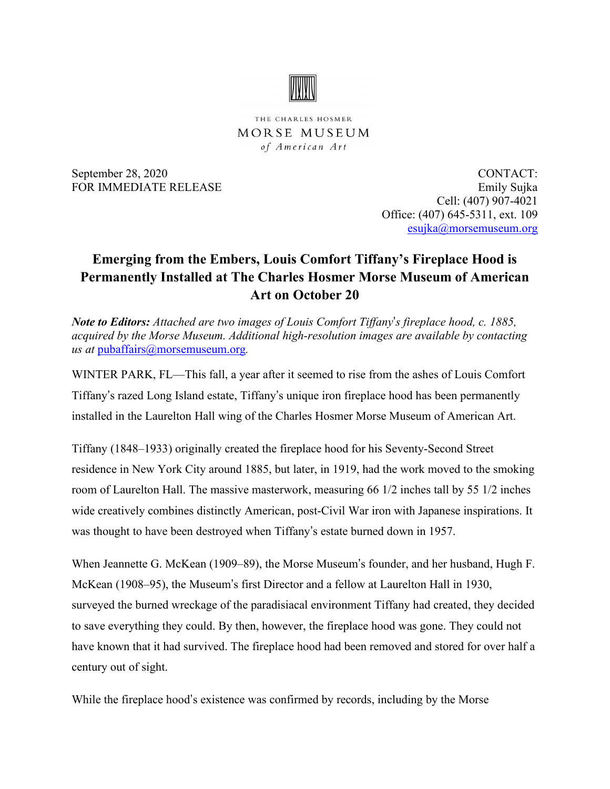

THE CHARLES HOSMER MORSE MUSEUM of American Art

September 28, 2020 CONTACT: FOR IMMEDIATE RELEASE Emily Sujka Cell: (407) 907-4021 Office: (407) 645-5311, ext. 109 [esujka@morsemuseum.org](mailto:esujka@morsemuseum.org)

## **Emerging from the Embers, Louis Comfort Tiffany's Fireplace Hood is Permanently Installed at The Charles Hosmer Morse Museum of American Art on October 20**

*Note to Editors: Attached are two images of Louis Comfort Tiffany*'*s fireplace hood, c. 1885, acquired by the Morse Museum. Additional high-resolution images are available by contacting us at* [pubaffairs@morsemuseum.org](mailto:pubaffairs@morsemuseum.org)*.*

WINTER PARK, FL—This fall, a year after it seemed to rise from the ashes of Louis Comfort Tiffany's razed Long Island estate, Tiffany's unique iron fireplace hood has been permanently installed in the Laurelton Hall wing of the Charles Hosmer Morse Museum of American Art.

Tiffany (1848–1933) originally created the fireplace hood for his Seventy-Second Street residence in New York City around 1885, but later, in 1919, had the work moved to the smoking room of Laurelton Hall. The massive masterwork, measuring 66 1/2 inches tall by 55 1/2 inches wide creatively combines distinctly American, post-Civil War iron with Japanese inspirations. It was thought to have been destroyed when Tiffany's estate burned down in 1957.

When Jeannette G. McKean (1909–89), the Morse Museum's founder, and her husband, Hugh F. McKean (1908–95), the Museum's first Director and a fellow at Laurelton Hall in 1930, surveyed the burned wreckage of the paradisiacal environment Tiffany had created, they decided to save everything they could. By then, however, the fireplace hood was gone. They could not have known that it had survived. The fireplace hood had been removed and stored for over half a century out of sight.

While the fireplace hood's existence was confirmed by records, including by the Morse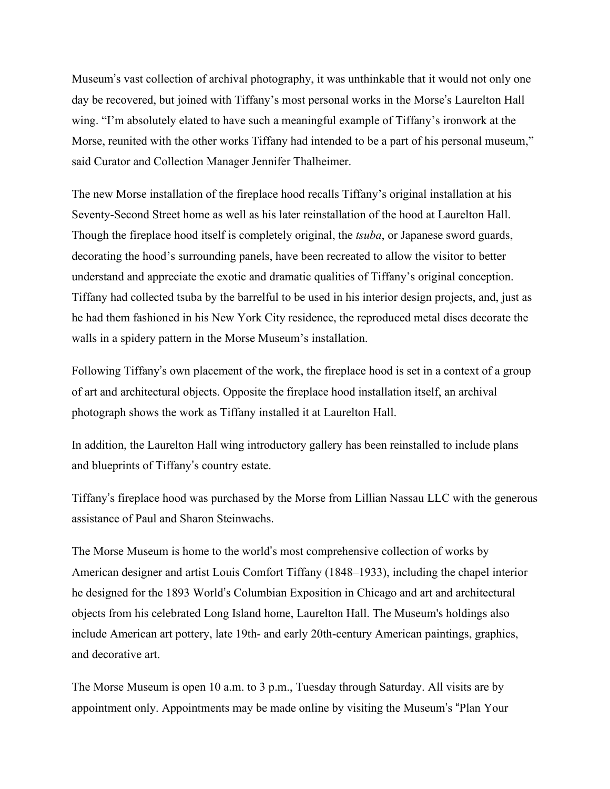Museum's vast collection of archival photography, it was unthinkable that it would not only one day be recovered, but joined with Tiffany's most personal works in the Morse's Laurelton Hall wing. "I'm absolutely elated to have such a meaningful example of Tiffany's ironwork at the Morse, reunited with the other works Tiffany had intended to be a part of his personal museum," said Curator and Collection Manager Jennifer Thalheimer.

The new Morse installation of the fireplace hood recalls Tiffany's original installation at his Seventy-Second Street home as well as his later reinstallation of the hood at Laurelton Hall. Though the fireplace hood itself is completely original, the *tsuba*, or Japanese sword guards, decorating the hood's surrounding panels, have been recreated to allow the visitor to better understand and appreciate the exotic and dramatic qualities of Tiffany's original conception. Tiffany had collected tsuba by the barrelful to be used in his interior design projects, and, just as he had them fashioned in his New York City residence, the reproduced metal discs decorate the walls in a spidery pattern in the Morse Museum's installation.

Following Tiffany's own placement of the work, the fireplace hood is set in a context of a group of art and architectural objects. Opposite the fireplace hood installation itself, an archival photograph shows the work as Tiffany installed it at Laurelton Hall.

In addition, the Laurelton Hall wing introductory gallery has been reinstalled to include plans and blueprints of Tiffany's country estate.

Tiffany's fireplace hood was purchased by the Morse from Lillian Nassau LLC with the generous assistance of Paul and Sharon Steinwachs.

The Morse Museum is home to the world's most comprehensive collection of works by American designer and artist Louis Comfort Tiffany (1848–1933), including the chapel interior he designed for the 1893 World's Columbian Exposition in Chicago and art and architectural objects from his celebrated Long Island home, Laurelton Hall. The Museum's holdings also include American art pottery, late 19th- and early 20th-century American paintings, graphics, and decorative art.

The Morse Museum is open 10 a.m. to 3 p.m., Tuesday through Saturday. All visits are by appointment only. Appointments may be made online by visiting the Museum's "Plan Your